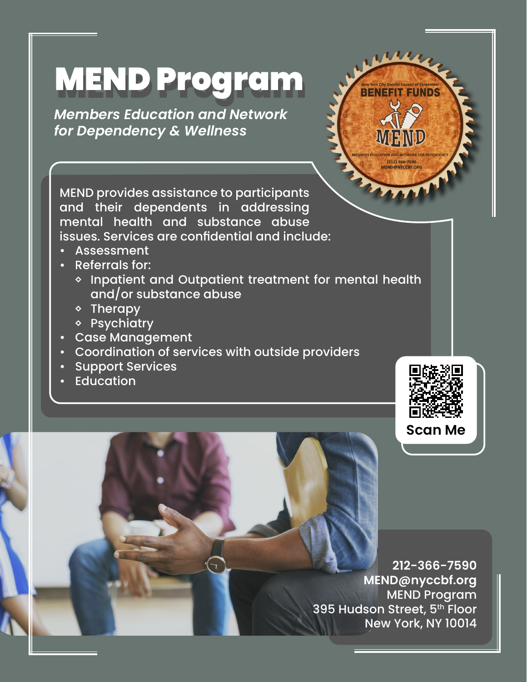## MEND Program

*Members Education and Network for Dependency & Wellness*



MEND provides assistance to participants and their dependents in addressing mental health and substance abuse issues. Services are confidential and include:

- Assessment
- Referrals for:
	- ◊ Inpatient and Outpatient treatment for mental health and/or substance abuse
	- ◊ Therapy
	- ◊ Psychiatry
- Case Management
- Coordination of services with outside providers
- Support Services
- **Education**



**Scan Me**

**212-366-7590 MEND@nyccbf.org** MEND Program 395 Hudson Street, 5th Floor New York, NY 10014